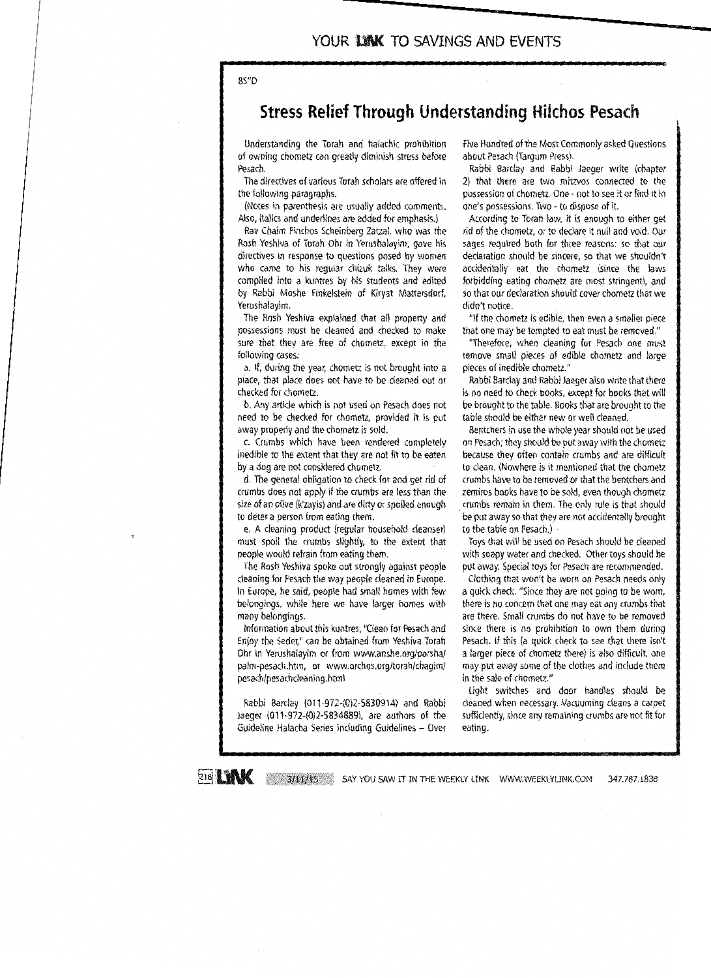BS"D

## **Stress Relief Through Understanding Hilchos Pesach**

Understanding the Torah and halachic prohibition of owning chometz can greatly diminish stress before Pesach.

The directives of various Torah scholars are offered in the following paragraphs.

(Notes in parenthesis are usually added comments. Also, italics and underlines are added for emphasis.)

Rav Chaim Pinchos Scheinberg Zatzal, who was the Rosh Yeshiva of Torah Ohr in Yerushalayim, gave his directives in response to questions posed by women who came to his regular chizuk talks. They were compiled into a kuntres by his students and edited by Rabbi Moshe Finkelstein of Kiryat Mattersdorf, Yerushalayim.

The Rosh Yeshiva explained that all property and possessions must be cleaned and checked to make sure that they are free of chometz, except in the following cases:

a. If, during the year, chometz is not brought into a place, that place does not have to be cleaned out or checked for chometz.

b. Any article which is not used on Pesach does not need to be checked for chometz, provided it is put away properly and the chometz is sold.

c. Crumbs which have been rendered completely inedible to the extent that they are not fit to be eaten by a dog are not considered chometz.

d. The general obligation to check for and get rid of crumbs does not apply if the crumbs are less than the size of an olive (k'zayis) and are dirty or spoiled enough to deter a person from eating them.

e. A cleaning product (regular household cleanser) must spoil the crumbs slightly, to the extent that people would refrain from eating them.

The Rosh Yeshiva spoke out strongly against people cleaning for Pesach the way people cleaned in Europe. In Europe, he said, people had small homes with few belongings, while here we have larger homes with many belongings.

Information about this kuntres, "Clean for Pesach and Enjoy the Seder," can be obtained from Yeshiva Torah Ohr in Yerushalayim or from www.anshe.org/parsha/ palm-pesach.htm, or www.orchos.org/torah/chagim/ pesach/pesachcleaning.html

Rabbi Barclay (011-972-(0)2-5830914) and Rabbi Jaeger (011-972-(0)2-5834889), are authors of the Guideline Halacha Series including Guidelines - Over Five Hundred of the Most Commonly asked Questions about Pesach (Targum Press).

Rabbi Barclay and Rabbi Jaeger write (chapter 2) that there are two mitzvos connected to the possession of chometz. One - not to see it or find it in one's possessions. Two - to dispose of it.

According to Torah law, it is enough to either get rid of the chometz, or to declare it null and void. Our sages required both for three reasons: so that our declaration should be sincere, so that we shouldn't accidentally eat the chometz (since the laws forbidding eating chometz are most stringent), and so that our declaration should cover chometz that we didn't notice.

"If the chometz is edible, then even a smaller piece that one may be tempted to eat must be removed."

"Therefore, when cleaning for Pesach one must remove small pieces of edible chometz and large pieces of inedible chometz."

Rabbi Barclay and Rabbi Jaeger also write that there is no need to check books, except for books that will be brought to the table. Books that are brought to the table should be either new or well cleaned.

Bentchers in use the whole year should not be used on Pesach; they should be put away with the chometz because they often contain crumbs and are difficult to clean. (Nowhere is it mentioned that the chometz crumbs have to be removed or that the bentchers and zemiros books have to be sold, even though chometz crumbs remain in them. The only rule is that should be put away so that they are not accidentally brought to the table on Pesach.)

Toys that will be used on Pesach should be cleaned with soapy water and checked. Other toys should be put away. Special toys for Pesach are recommended.

Clothing that won't be worn on Pesach needs only a quick check. "Since they are not going to be worn, there is no concern that one may eat any crumbs that are there. Small crumbs do not have to be removed since there is no prohibition to own them during Pesach. If this (a quick check to see that there isn't a larger piece of chometz there) is also difficult, one may put away some of the clothes and include them in the sale of chometz."

Light switches and door handles should be cleaned when necessary. Vacuuming cleans a carpet sufficiently, since any remaining crumbs are not fit for eating.